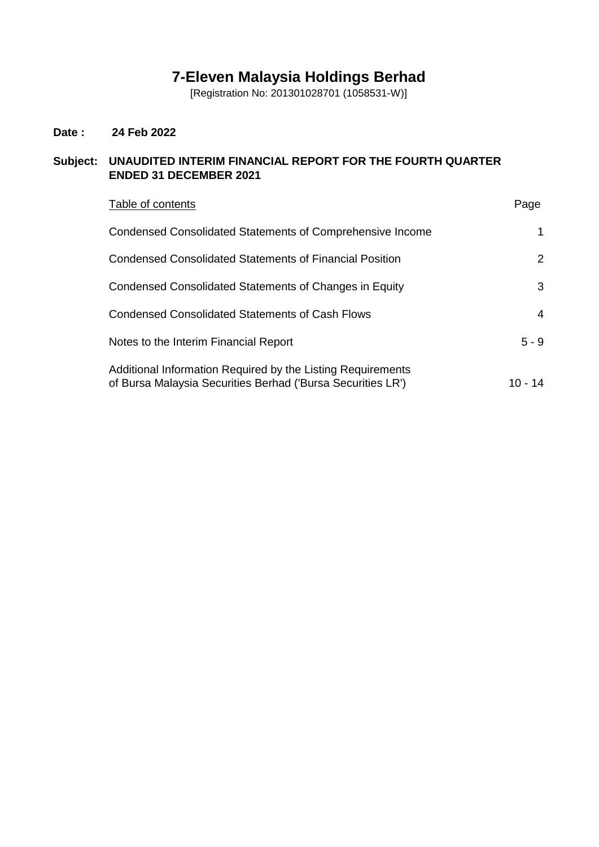# **7-Eleven Malaysia Holdings Berhad**

[Registration No: 201301028701 (1058531-W)]

## **Date : 24 Feb 2022**

## **Subject: UNAUDITED INTERIM FINANCIAL REPORT FOR THE FOURTH QUARTER ENDED 31 DECEMBER 2021**

| Table of contents                                                                                                          | Page       |
|----------------------------------------------------------------------------------------------------------------------------|------------|
| Condensed Consolidated Statements of Comprehensive Income                                                                  | 1          |
| Condensed Consolidated Statements of Financial Position                                                                    | 2          |
| Condensed Consolidated Statements of Changes in Equity                                                                     | 3          |
| <b>Condensed Consolidated Statements of Cash Flows</b>                                                                     | 4          |
| Notes to the Interim Financial Report                                                                                      | $5 - 9$    |
| Additional Information Required by the Listing Requirements<br>of Bursa Malaysia Securities Berhad ('Bursa Securities LR') | 10 -<br>14 |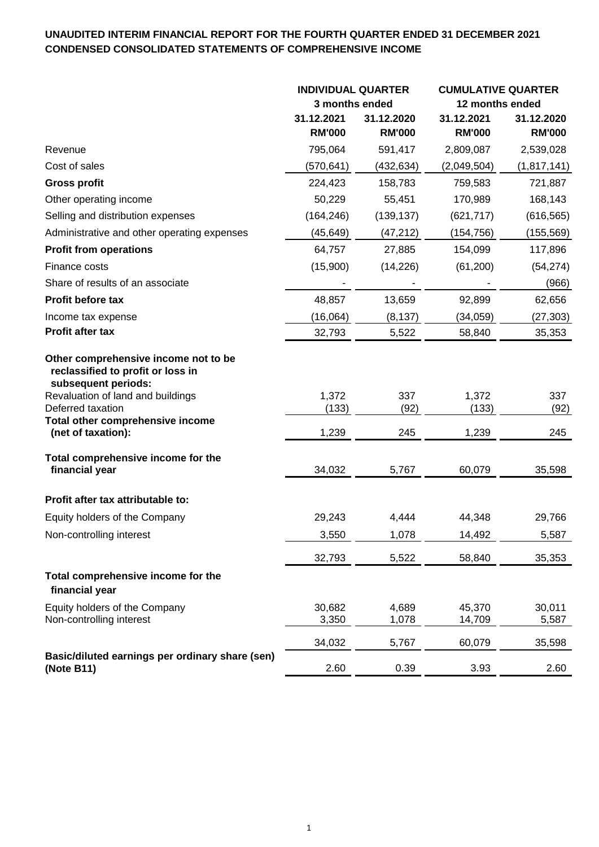## **UNAUDITED INTERIM FINANCIAL REPORT FOR THE FOURTH QUARTER ENDED 31 DECEMBER 2021 CONDENSED CONSOLIDATED STATEMENTS OF COMPREHENSIVE INCOME**

|                                                                                                                                                                                                | <b>INDIVIDUAL QUARTER</b>   |                             | <b>CUMULATIVE QUARTER</b>   |                             |  |
|------------------------------------------------------------------------------------------------------------------------------------------------------------------------------------------------|-----------------------------|-----------------------------|-----------------------------|-----------------------------|--|
|                                                                                                                                                                                                | 3 months ended              |                             | 12 months ended             |                             |  |
|                                                                                                                                                                                                | 31.12.2021<br><b>RM'000</b> | 31.12.2020<br><b>RM'000</b> | 31.12.2021<br><b>RM'000</b> | 31.12.2020<br><b>RM'000</b> |  |
| Revenue                                                                                                                                                                                        | 795,064                     | 591,417                     | 2,809,087                   | 2,539,028                   |  |
| Cost of sales                                                                                                                                                                                  | (570, 641)                  | (432, 634)                  | (2,049,504)                 | (1,817,141)                 |  |
| <b>Gross profit</b>                                                                                                                                                                            | 224,423                     | 158,783                     | 759,583                     | 721,887                     |  |
| Other operating income                                                                                                                                                                         | 50,229                      | 55,451                      | 170,989                     | 168,143                     |  |
| Selling and distribution expenses                                                                                                                                                              | (164, 246)                  | (139, 137)                  | (621, 717)                  | (616, 565)                  |  |
| Administrative and other operating expenses                                                                                                                                                    | (45, 649)                   | (47, 212)                   | (154, 756)                  | (155, 569)                  |  |
| <b>Profit from operations</b>                                                                                                                                                                  | 64,757                      | 27,885                      | 154,099                     | 117,896                     |  |
| Finance costs                                                                                                                                                                                  | (15,900)                    | (14, 226)                   | (61, 200)                   | (54, 274)                   |  |
| Share of results of an associate                                                                                                                                                               |                             |                             |                             | (966)                       |  |
| <b>Profit before tax</b>                                                                                                                                                                       | 48,857                      | 13,659                      | 92,899                      | 62,656                      |  |
| Income tax expense                                                                                                                                                                             | (16,064)                    | (8, 137)                    | (34,059)                    | (27, 303)                   |  |
| Profit after tax                                                                                                                                                                               | 32,793                      | 5,522                       | 58,840                      | 35,353                      |  |
| Other comprehensive income not to be<br>reclassified to profit or loss in<br>subsequent periods:<br>Revaluation of land and buildings<br>Deferred taxation<br>Total other comprehensive income | 1,372<br>(133)              | 337<br>(92)                 | 1,372<br>(133)              | 337<br>(92)                 |  |
| (net of taxation):                                                                                                                                                                             | 1,239                       | 245                         | 1,239                       | 245                         |  |
| Total comprehensive income for the<br>financial year                                                                                                                                           | 34,032                      | 5,767                       | 60,079                      | 35,598                      |  |
| Profit after tax attributable to:                                                                                                                                                              |                             |                             |                             |                             |  |
| Equity holders of the Company                                                                                                                                                                  | 29,243                      | 4,444                       | 44,348                      | 29,766                      |  |
| Non-controlling interest                                                                                                                                                                       | 3,550                       | 1,078                       | 14,492                      | 5,587                       |  |
|                                                                                                                                                                                                | 32,793                      | 5,522                       | 58,840                      | 35,353                      |  |
| Total comprehensive income for the<br>financial year                                                                                                                                           |                             |                             |                             |                             |  |
| Equity holders of the Company<br>Non-controlling interest                                                                                                                                      | 30,682<br>3,350             | 4,689<br>1,078              | 45,370<br>14,709            | 30,011<br>5,587             |  |
|                                                                                                                                                                                                | 34,032                      | 5,767                       | 60,079                      | 35,598                      |  |
| Basic/diluted earnings per ordinary share (sen)<br>(Note B11)                                                                                                                                  | 2.60                        | 0.39                        | 3.93                        | 2.60                        |  |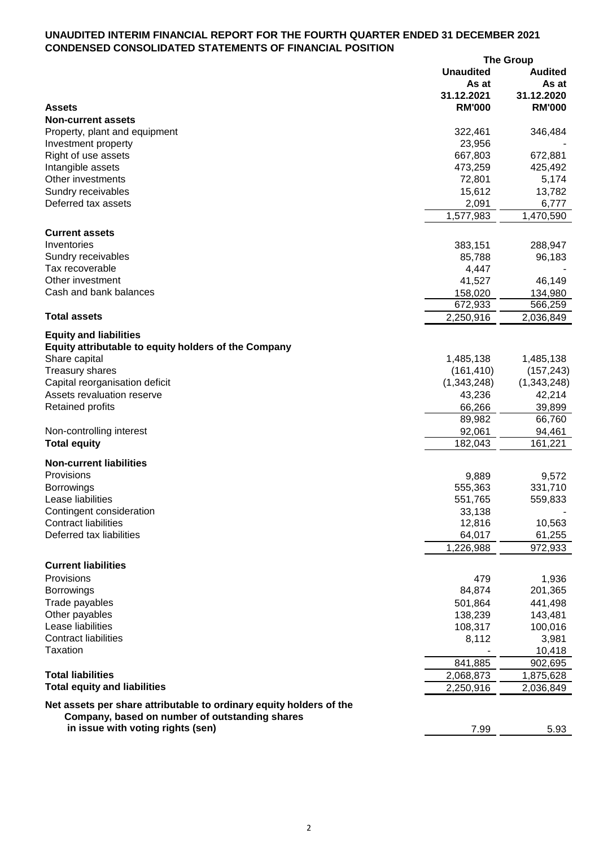### **UNAUDITED INTERIM FINANCIAL REPORT FOR THE FOURTH QUARTER ENDED 31 DECEMBER 2021 CONDENSED CONSOLIDATED STATEMENTS OF FINANCIAL POSITION**

|                                                                     |                  | <b>The Group</b> |
|---------------------------------------------------------------------|------------------|------------------|
|                                                                     | <b>Unaudited</b> | <b>Audited</b>   |
|                                                                     | As at            | As at            |
|                                                                     | 31.12.2021       | 31.12.2020       |
| <b>Assets</b>                                                       | <b>RM'000</b>    | <b>RM'000</b>    |
| <b>Non-current assets</b>                                           |                  |                  |
|                                                                     | 322,461          |                  |
| Property, plant and equipment                                       |                  | 346,484          |
| Investment property                                                 | 23,956           |                  |
| Right of use assets                                                 | 667,803          | 672,881          |
| Intangible assets                                                   | 473,259          | 425,492          |
| Other investments                                                   | 72,801           | 5,174            |
| Sundry receivables                                                  | 15,612           | 13,782           |
| Deferred tax assets                                                 | 2,091            | 6,777            |
|                                                                     | 1,577,983        | 1,470,590        |
|                                                                     |                  |                  |
| <b>Current assets</b>                                               |                  |                  |
| Inventories                                                         | 383,151          | 288,947          |
| Sundry receivables                                                  | 85,788           | 96,183           |
| Tax recoverable                                                     | 4,447            |                  |
| Other investment                                                    | 41,527           | 46,149           |
| Cash and bank balances                                              | 158,020          | 134,980          |
|                                                                     | 672,933          | 566,259          |
| <b>Total assets</b>                                                 | 2,250,916        |                  |
|                                                                     |                  | 2,036,849        |
| <b>Equity and liabilities</b>                                       |                  |                  |
| Equity attributable to equity holders of the Company                |                  |                  |
| Share capital                                                       | 1,485,138        | 1,485,138        |
| Treasury shares                                                     | (161, 410)       | (157, 243)       |
| Capital reorganisation deficit                                      | (1,343,248)      | (1,343,248)      |
| Assets revaluation reserve                                          | 43,236           | 42,214           |
|                                                                     |                  |                  |
| <b>Retained profits</b>                                             | 66,266           | 39,899           |
|                                                                     | 89,982           | 66,760           |
| Non-controlling interest                                            | 92,061           | 94,461           |
| <b>Total equity</b>                                                 | 182,043          | 161,221          |
|                                                                     |                  |                  |
| <b>Non-current liabilities</b>                                      |                  |                  |
| Provisions                                                          | 9,889            | 9,572            |
| <b>Borrowings</b>                                                   | 555,363          | 331,710          |
| Lease liabilities                                                   | 551,765          | 559,833          |
| Contingent consideration                                            | 33,138           |                  |
| <b>Contract liabilities</b>                                         | 12,816           | 10,563           |
| Deferred tax liabilities                                            | 64,017           | 61,255           |
|                                                                     | 1,226,988        | 972,933          |
|                                                                     |                  |                  |
| <b>Current liabilities</b>                                          |                  |                  |
| Provisions                                                          | 479              | 1,936            |
| <b>Borrowings</b>                                                   | 84,874           | 201,365          |
| Trade payables                                                      | 501,864          | 441,498          |
| Other payables                                                      | 138,239          | 143,481          |
| Lease liabilities                                                   |                  |                  |
|                                                                     | 108,317          | 100,016          |
| <b>Contract liabilities</b>                                         | 8,112            | 3,981            |
| Taxation                                                            |                  | 10,418           |
|                                                                     | 841,885          | 902,695          |
| <b>Total liabilities</b>                                            | 2,068,873        | 1,875,628        |
| <b>Total equity and liabilities</b>                                 | 2,250,916        | 2,036,849        |
|                                                                     |                  |                  |
| Net assets per share attributable to ordinary equity holders of the |                  |                  |
| Company, based on number of outstanding shares                      |                  |                  |
| in issue with voting rights (sen)                                   | 7.99             | 5.93             |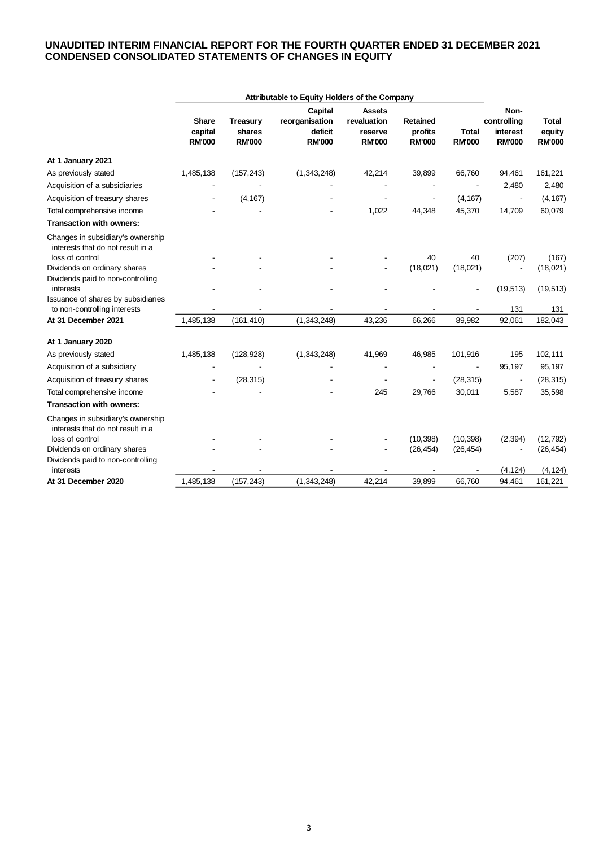### **UNAUDITED INTERIM FINANCIAL REPORT FOR THE FOURTH QUARTER ENDED 31 DECEMBER 2021 CONDENSED CONSOLIDATED STATEMENTS OF CHANGES IN EQUITY**

|                                                                                           | Attributable to Equity Holders of the Company |                                            |                                                       |                                                   |                                      |                               |                                                  |                                  |
|-------------------------------------------------------------------------------------------|-----------------------------------------------|--------------------------------------------|-------------------------------------------------------|---------------------------------------------------|--------------------------------------|-------------------------------|--------------------------------------------------|----------------------------------|
|                                                                                           | <b>Share</b><br>capital<br><b>RM'000</b>      | <b>Treasury</b><br>shares<br><b>RM'000</b> | Capital<br>reorganisation<br>deficit<br><b>RM'000</b> | Assets<br>revaluation<br>reserve<br><b>RM'000</b> | Retained<br>profits<br><b>RM'000</b> | <b>Total</b><br><b>RM'000</b> | Non-<br>controlling<br>interest<br><b>RM'000</b> | Total<br>equity<br><b>RM'000</b> |
| At 1 January 2021                                                                         |                                               |                                            |                                                       |                                                   |                                      |                               |                                                  |                                  |
| As previously stated                                                                      | 1,485,138                                     | (157, 243)                                 | (1,343,248)                                           | 42,214                                            | 39,899                               | 66,760                        | 94,461                                           | 161,221                          |
| Acquisition of a subsidiaries                                                             |                                               |                                            |                                                       |                                                   |                                      |                               | 2,480                                            | 2,480                            |
| Acquisition of treasury shares                                                            |                                               | (4, 167)                                   |                                                       |                                                   |                                      | (4, 167)                      | $\overline{\phantom{a}}$                         | (4, 167)                         |
| Total comprehensive income                                                                |                                               |                                            |                                                       | 1,022                                             | 44,348                               | 45,370                        | 14,709                                           | 60,079                           |
| <b>Transaction with owners:</b>                                                           |                                               |                                            |                                                       |                                                   |                                      |                               |                                                  |                                  |
| Changes in subsidiary's ownership<br>interests that do not result in a<br>loss of control |                                               |                                            |                                                       |                                                   | 40                                   | 40                            | (207)                                            | (167)                            |
| Dividends on ordinary shares                                                              |                                               |                                            |                                                       |                                                   | (18,021)                             | (18,021)                      |                                                  | (18,021)                         |
| Dividends paid to non-controlling<br>interests                                            |                                               |                                            |                                                       |                                                   |                                      |                               | (19, 513)                                        | (19, 513)                        |
| Issuance of shares by subsidiaries<br>to non-controlling interests                        |                                               |                                            |                                                       |                                                   |                                      |                               | 131                                              | 131                              |
| At 31 December 2021                                                                       | 1,485,138                                     | (161, 410)                                 | (1,343,248)                                           | 43,236                                            | 66,266                               | 89,982                        | 92,061                                           | 182,043                          |
| At 1 January 2020                                                                         |                                               |                                            |                                                       |                                                   |                                      |                               |                                                  |                                  |
| As previously stated                                                                      | 1,485,138                                     | (128, 928)                                 | (1,343,248)                                           | 41,969                                            | 46,985                               | 101,916                       | 195                                              | 102,111                          |
| Acquisition of a subsidiary                                                               |                                               |                                            |                                                       |                                                   |                                      |                               | 95,197                                           | 95,197                           |
| Acquisition of treasury shares                                                            |                                               | (28, 315)                                  |                                                       |                                                   |                                      | (28, 315)                     | $\overline{\phantom{a}}$                         | (28, 315)                        |
| Total comprehensive income                                                                |                                               |                                            |                                                       | 245                                               | 29,766                               | 30,011                        | 5,587                                            | 35,598                           |
| <b>Transaction with owners:</b>                                                           |                                               |                                            |                                                       |                                                   |                                      |                               |                                                  |                                  |
| Changes in subsidiary's ownership<br>interests that do not result in a                    |                                               |                                            |                                                       |                                                   |                                      |                               |                                                  |                                  |
| loss of control                                                                           |                                               |                                            |                                                       |                                                   | (10, 398)                            | (10, 398)                     | (2, 394)                                         | (12, 792)                        |
| Dividends on ordinary shares<br>Dividends paid to non-controlling                         |                                               |                                            |                                                       |                                                   | (26, 454)                            | (26, 454)                     |                                                  | (26, 454)                        |
| interests                                                                                 |                                               |                                            |                                                       |                                                   |                                      |                               | (4, 124)                                         | (4, 124)                         |
| At 31 December 2020                                                                       | 1,485,138                                     | (157, 243)                                 | (1,343,248)                                           | 42,214                                            | 39,899                               | 66,760                        | 94,461                                           | 161,221                          |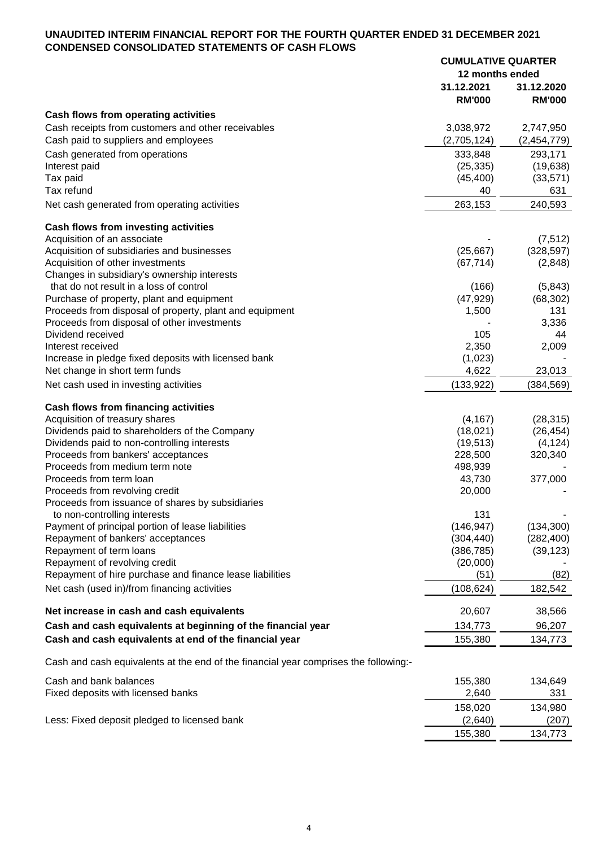#### **UNAUDITED INTERIM FINANCIAL REPORT FOR THE FOURTH QUARTER ENDED 31 DECEMBER 2021 CONDENSED CONSOLIDATED STATEMENTS OF CASH FLOWS CUMULATIVE QUARTER**

|                                                                                      | <b>CUMULATIVE QUARTER</b><br>12 months ended |                             |
|--------------------------------------------------------------------------------------|----------------------------------------------|-----------------------------|
|                                                                                      |                                              |                             |
|                                                                                      | 31.12.2021<br><b>RM'000</b>                  | 31.12.2020<br><b>RM'000</b> |
| Cash flows from operating activities                                                 |                                              |                             |
| Cash receipts from customers and other receivables                                   | 3,038,972                                    | 2,747,950                   |
| Cash paid to suppliers and employees                                                 | (2,705,124)                                  | (2,454,779)                 |
| Cash generated from operations                                                       | 333,848                                      | 293,171                     |
| Interest paid                                                                        | (25, 335)                                    | (19, 638)                   |
| Tax paid                                                                             | (45, 400)                                    | (33, 571)                   |
| Tax refund                                                                           | 40                                           | 631                         |
| Net cash generated from operating activities                                         | 263,153                                      | 240,593                     |
| Cash flows from investing activities                                                 |                                              |                             |
| Acquisition of an associate                                                          |                                              | (7, 512)                    |
| Acquisition of subsidiaries and businesses                                           | (25, 667)                                    | (328, 597)                  |
| Acquisition of other investments                                                     | (67, 714)                                    | (2,848)                     |
| Changes in subsidiary's ownership interests                                          |                                              |                             |
| that do not result in a loss of control                                              | (166)                                        | (5, 843)                    |
| Purchase of property, plant and equipment                                            | (47, 929)                                    | (68, 302)                   |
| Proceeds from disposal of property, plant and equipment                              | 1,500                                        | 131                         |
| Proceeds from disposal of other investments<br>Dividend received                     |                                              | 3,336<br>44                 |
| Interest received                                                                    | 105<br>2,350                                 | 2,009                       |
| Increase in pledge fixed deposits with licensed bank                                 | (1,023)                                      |                             |
| Net change in short term funds                                                       | 4,622                                        | 23,013                      |
| Net cash used in investing activities                                                | (133, 922)                                   | (384,569)                   |
|                                                                                      |                                              |                             |
| <b>Cash flows from financing activities</b>                                          |                                              |                             |
| Acquisition of treasury shares<br>Dividends paid to shareholders of the Company      | (4, 167)<br>(18,021)                         | (28, 315)<br>(26, 454)      |
| Dividends paid to non-controlling interests                                          | (19, 513)                                    | (4, 124)                    |
| Proceeds from bankers' acceptances                                                   | 228,500                                      | 320,340                     |
| Proceeds from medium term note                                                       | 498,939                                      |                             |
| Proceeds from term loan                                                              | 43,730                                       | 377,000                     |
| Proceeds from revolving credit                                                       | 20,000                                       |                             |
| Proceeds from issuance of shares by subsidiaries                                     |                                              |                             |
| to non-controlling interests                                                         | 131                                          |                             |
| Payment of principal portion of lease liabilities                                    | (146, 947)                                   | (134, 300)                  |
| Repayment of bankers' acceptances                                                    | (304, 440)                                   | (282, 400)                  |
| Repayment of term loans                                                              | (386, 785)                                   | (39, 123)                   |
| Repayment of revolving credit                                                        | (20,000)                                     |                             |
| Repayment of hire purchase and finance lease liabilities                             | (51)                                         | (82)                        |
| Net cash (used in)/from financing activities                                         | (108, 624)                                   | 182,542                     |
| Net increase in cash and cash equivalents                                            | 20,607                                       | 38,566                      |
| Cash and cash equivalents at beginning of the financial year                         | 134,773                                      | 96,207                      |
| Cash and cash equivalents at end of the financial year                               | 155,380                                      | 134,773                     |
| Cash and cash equivalents at the end of the financial year comprises the following:- |                                              |                             |
| Cash and bank balances                                                               | 155,380                                      | 134,649                     |
| Fixed deposits with licensed banks                                                   | 2,640                                        | 331                         |
|                                                                                      | 158,020                                      | 134,980                     |
| Less: Fixed deposit pledged to licensed bank                                         | (2,640)                                      | (207)                       |
|                                                                                      | 155,380                                      | 134,773                     |
|                                                                                      |                                              |                             |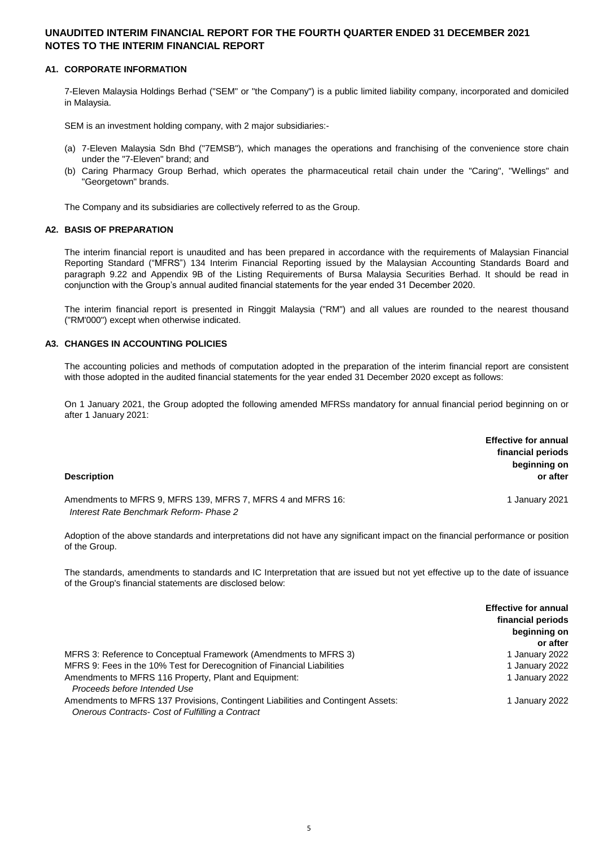#### **A1. CORPORATE INFORMATION**

7-Eleven Malaysia Holdings Berhad ("SEM" or "the Company") is a public limited liability company, incorporated and domiciled in Malaysia.

SEM is an investment holding company, with 2 major subsidiaries:-

- (a) 7-Eleven Malaysia Sdn Bhd ("7EMSB"), which manages the operations and franchising of the convenience store chain under the "7-Eleven" brand; and
- (b) Caring Pharmacy Group Berhad, which operates the pharmaceutical retail chain under the "Caring", "Wellings" and "Georgetown" brands.

The Company and its subsidiaries are collectively referred to as the Group.

#### **A2. BASIS OF PREPARATION**

The interim financial report is unaudited and has been prepared in accordance with the requirements of Malaysian Financial Reporting Standard ("MFRS") 134 Interim Financial Reporting issued by the Malaysian Accounting Standards Board and paragraph 9.22 and Appendix 9B of the Listing Requirements of Bursa Malaysia Securities Berhad. It should be read in conjunction with the Group's annual audited financial statements for the year ended 31 December 2020.

The interim financial report is presented in Ringgit Malaysia ("RM") and all values are rounded to the nearest thousand ("RM'000") except when otherwise indicated.

#### **A3. CHANGES IN ACCOUNTING POLICIES**

The accounting policies and methods of computation adopted in the preparation of the interim financial report are consistent with those adopted in the audited financial statements for the year ended 31 December 2020 except as follows:

On 1 January 2021, the Group adopted the following amended MFRSs mandatory for annual financial period beginning on or after 1 January 2021:

| <b>Description</b>                                                                                     | <b>Effective for annual</b><br>financial periods<br>beginning on<br>or after |
|--------------------------------------------------------------------------------------------------------|------------------------------------------------------------------------------|
| Amendments to MFRS 9, MFRS 139, MFRS 7, MFRS 4 and MFRS 16:<br>Interest Rate Benchmark Reform- Phase 2 | 1 January 2021                                                               |

Adoption of the above standards and interpretations did not have any significant impact on the financial performance or position of the Group.

The standards, amendments to standards and IC Interpretation that are issued but not yet effective up to the date of issuance of the Group's financial statements are disclosed below:

|                                                                                                                                      | <b>Effective for annual</b><br>financial periods<br>beginning on |
|--------------------------------------------------------------------------------------------------------------------------------------|------------------------------------------------------------------|
|                                                                                                                                      | or after                                                         |
| MFRS 3: Reference to Conceptual Framework (Amendments to MFRS 3)                                                                     | 1 January 2022                                                   |
| MFRS 9: Fees in the 10% Test for Derecognition of Financial Liabilities                                                              | 1 January 2022                                                   |
| Amendments to MFRS 116 Property, Plant and Equipment:<br>Proceeds before Intended Use                                                | 1 January 2022                                                   |
| Amendments to MFRS 137 Provisions, Contingent Liabilities and Contingent Assets:<br>Onerous Contracts- Cost of Fulfilling a Contract | 1 January 2022                                                   |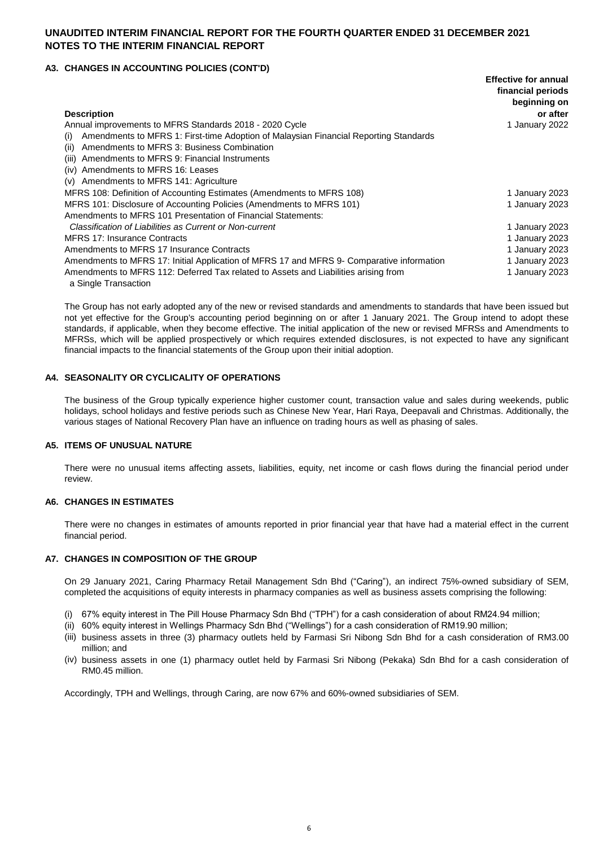#### **A3. CHANGES IN ACCOUNTING POLICIES (CONT'D)**

|                                                                                                             | <b>Effective for annual</b><br>financial periods |
|-------------------------------------------------------------------------------------------------------------|--------------------------------------------------|
| <b>Description</b>                                                                                          | beginning on<br>or after                         |
| Annual improvements to MFRS Standards 2018 - 2020 Cycle                                                     | 1 January 2022                                   |
| Amendments to MFRS 1: First-time Adoption of Malaysian Financial Reporting Standards<br>(i)                 |                                                  |
| Amendments to MFRS 3: Business Combination<br>(ii)                                                          |                                                  |
| Amendments to MFRS 9: Financial Instruments<br>(iii)                                                        |                                                  |
| (iv) Amendments to MFRS 16: Leases                                                                          |                                                  |
| Amendments to MFRS 141: Agriculture<br>(v)                                                                  |                                                  |
| MFRS 108: Definition of Accounting Estimates (Amendments to MFRS 108)                                       | 1 January 2023                                   |
| MFRS 101: Disclosure of Accounting Policies (Amendments to MFRS 101)                                        | 1 January 2023                                   |
| Amendments to MFRS 101 Presentation of Financial Statements:                                                |                                                  |
| Classification of Liabilities as Current or Non-current                                                     | 1 January 2023                                   |
| <b>MFRS 17: Insurance Contracts</b>                                                                         | 1 January 2023                                   |
| Amendments to MFRS 17 Insurance Contracts                                                                   | 1 January 2023                                   |
| Amendments to MFRS 17: Initial Application of MFRS 17 and MFRS 9- Comparative information                   | 1 January 2023                                   |
| Amendments to MFRS 112: Deferred Tax related to Assets and Liabilities arising from<br>a Single Transaction | 1 January 2023                                   |

The Group has not early adopted any of the new or revised standards and amendments to standards that have been issued but not yet effective for the Group's accounting period beginning on or after 1 January 2021. The Group intend to adopt these standards, if applicable, when they become effective. The initial application of the new or revised MFRSs and Amendments to MFRSs, which will be applied prospectively or which requires extended disclosures, is not expected to have any significant financial impacts to the financial statements of the Group upon their initial adoption.

#### **A4. SEASONALITY OR CYCLICALITY OF OPERATIONS**

The business of the Group typically experience higher customer count, transaction value and sales during weekends, public holidays, school holidays and festive periods such as Chinese New Year, Hari Raya, Deepavali and Christmas. Additionally, the various stages of National Recovery Plan have an influence on trading hours as well as phasing of sales.

#### **A5. ITEMS OF UNUSUAL NATURE**

There were no unusual items affecting assets, liabilities, equity, net income or cash flows during the financial period under review.

#### **A6. CHANGES IN ESTIMATES**

There were no changes in estimates of amounts reported in prior financial year that have had a material effect in the current financial period.

#### **A7. CHANGES IN COMPOSITION OF THE GROUP**

On 29 January 2021, Caring Pharmacy Retail Management Sdn Bhd ("Caring"), an indirect 75%-owned subsidiary of SEM, completed the acquisitions of equity interests in pharmacy companies as well as business assets comprising the following:

- (i) 67% equity interest in The Pill House Pharmacy Sdn Bhd ("TPH") for a cash consideration of about RM24.94 million;
- (ii) 60% equity interest in Wellings Pharmacy Sdn Bhd ("Wellings") for a cash consideration of RM19.90 million;
- (iii) business assets in three (3) pharmacy outlets held by Farmasi Sri Nibong Sdn Bhd for a cash consideration of RM3.00 million; and
- (iv) business assets in one (1) pharmacy outlet held by Farmasi Sri Nibong (Pekaka) Sdn Bhd for a cash consideration of RM0.45 million.

Accordingly, TPH and Wellings, through Caring, are now 67% and 60%-owned subsidiaries of SEM.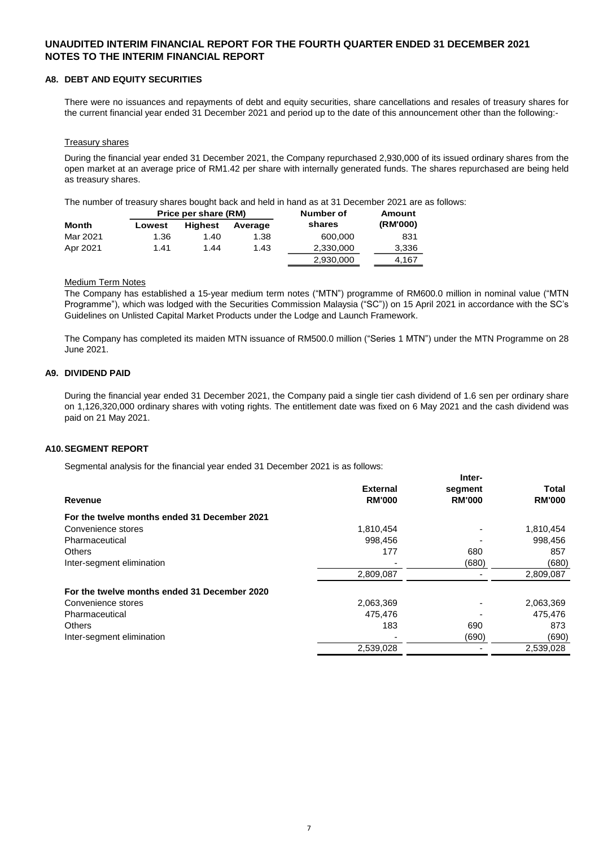#### **A8. DEBT AND EQUITY SECURITIES**

There were no issuances and repayments of debt and equity securities, share cancellations and resales of treasury shares for the current financial year ended 31 December 2021 and period up to the date of this announcement other than the following:-

#### **Treasury shares**

During the financial year ended 31 December 2021, the Company repurchased 2,930,000 of its issued ordinary shares from the open market at an average price of RM1.42 per share with internally generated funds. The shares repurchased are being held as treasury shares.

The number of treasury shares bought back and held in hand as at 31 December 2021 are as follows:

|              |        |                | Price per share (RM) |           | Number of | Amount |
|--------------|--------|----------------|----------------------|-----------|-----------|--------|
| <b>Month</b> | Lowest | <b>Highest</b> | Average              | shares    | (RM'000)  |        |
| Mar 2021     | 1.36   | 1.40           | 1.38                 | 600.000   | 831       |        |
| Apr 2021     | 1.41   | 1.44           | 1.43                 | 2,330,000 | 3,336     |        |
|              |        |                |                      | 2,930,000 | 4.167     |        |

#### Medium Term Notes

The Company has established a 15-year medium term notes ("MTN") programme of RM600.0 million in nominal value ("MTN Programme"), which was lodged with the Securities Commission Malaysia ("SC")) on 15 April 2021 in accordance with the SC's Guidelines on Unlisted Capital Market Products under the Lodge and Launch Framework.

The Company has completed its maiden MTN issuance of RM500.0 million ("Series 1 MTN") under the MTN Programme on 28 June 2021.

#### **A9. DIVIDEND PAID**

During the financial year ended 31 December 2021, the Company paid a single tier cash dividend of 1.6 sen per ordinary share on 1,126,320,000 ordinary shares with voting rights. The entitlement date was fixed on 6 May 2021 and the cash dividend was paid on 21 May 2021.

#### **A10.SEGMENT REPORT**

Segmental analysis for the financial year ended 31 December 2021 is as follows:

|                                              |                 | Inter-        |               |
|----------------------------------------------|-----------------|---------------|---------------|
|                                              | <b>External</b> | segment       | Total         |
| Revenue                                      | <b>RM'000</b>   | <b>RM'000</b> | <b>RM'000</b> |
| For the twelve months ended 31 December 2021 |                 |               |               |
| Convenience stores                           | 1,810,454       |               | 1,810,454     |
| Pharmaceutical                               | 998.456         |               | 998,456       |
| <b>Others</b>                                | 177             | 680           | 857           |
| Inter-segment elimination                    |                 | (680)         | (680)         |
|                                              | 2,809,087       |               | 2,809,087     |
| For the twelve months ended 31 December 2020 |                 |               |               |
| Convenience stores                           | 2,063,369       |               | 2,063,369     |
| Pharmaceutical                               | 475.476         |               | 475,476       |
| <b>Others</b>                                | 183             | 690           | 873           |
| Inter-segment elimination                    |                 | (690)         | (690)         |
|                                              | 2,539,028       |               | 2,539,028     |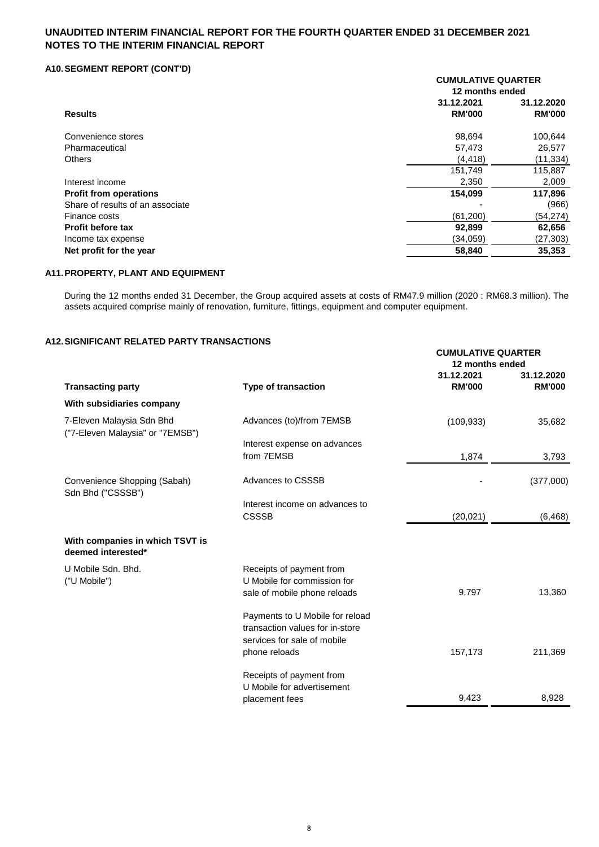### **A10.SEGMENT REPORT (CONT'D)**

|                                  | <b>CUMULATIVE QUARTER</b><br>12 months ended |               |  |
|----------------------------------|----------------------------------------------|---------------|--|
| <b>Results</b>                   | 31.12.2021                                   | 31.12.2020    |  |
|                                  | <b>RM'000</b>                                | <b>RM'000</b> |  |
| Convenience stores               | 98,694                                       | 100,644       |  |
| Pharmaceutical                   | 57,473                                       | 26,577        |  |
| <b>Others</b>                    | (4, 418)                                     | (11, 334)     |  |
|                                  | 151,749                                      | 115,887       |  |
| Interest income                  | 2,350                                        | 2,009         |  |
| <b>Profit from operations</b>    | 154,099                                      | 117,896       |  |
| Share of results of an associate |                                              | (966)         |  |
| Finance costs                    | (61, 200)                                    | (54, 274)     |  |
| <b>Profit before tax</b>         | 92,899                                       | 62,656        |  |
| Income tax expense               | (34,059)                                     | (27, 303)     |  |
| Net profit for the year          | 58,840                                       | 35,353        |  |
|                                  |                                              |               |  |

### **A11.PROPERTY, PLANT AND EQUIPMENT**

During the 12 months ended 31 December, the Group acquired assets at costs of RM47.9 million (2020 : RM68.3 million). The assets acquired comprise mainly of renovation, furniture, fittings, equipment and computer equipment.

### **A12.SIGNIFICANT RELATED PARTY TRANSACTIONS**

|                                                               |                                                                                                   | <b>CUMULATIVE QUARTER</b><br>12 months ended |                             |
|---------------------------------------------------------------|---------------------------------------------------------------------------------------------------|----------------------------------------------|-----------------------------|
| <b>Transacting party</b>                                      | <b>Type of transaction</b>                                                                        | 31.12.2021<br><b>RM'000</b>                  | 31.12.2020<br><b>RM'000</b> |
| With subsidiaries company                                     |                                                                                                   |                                              |                             |
| 7-Eleven Malaysia Sdn Bhd<br>("7-Eleven Malaysia" or "7EMSB") | Advances (to)/from 7EMSB                                                                          | (109, 933)                                   | 35,682                      |
|                                                               | Interest expense on advances<br>from 7EMSB                                                        | 1,874                                        | 3,793                       |
| Convenience Shopping (Sabah)<br>Sdn Bhd ("CSSSB")             | <b>Advances to CSSSB</b>                                                                          |                                              | (377,000)                   |
|                                                               | Interest income on advances to<br><b>CSSSB</b>                                                    | (20, 021)                                    | (6, 468)                    |
| With companies in which TSVT is<br>deemed interested*         |                                                                                                   |                                              |                             |
| U Mobile Sdn. Bhd.<br>("U Mobile")                            | Receipts of payment from<br>U Mobile for commission for<br>sale of mobile phone reloads           | 9,797                                        | 13,360                      |
|                                                               | Payments to U Mobile for reload<br>transaction values for in-store<br>services for sale of mobile |                                              |                             |
|                                                               | phone reloads<br>Receipts of payment from<br>U Mobile for advertisement                           | 157,173                                      | 211,369                     |
|                                                               | placement fees                                                                                    | 9,423                                        | 8,928                       |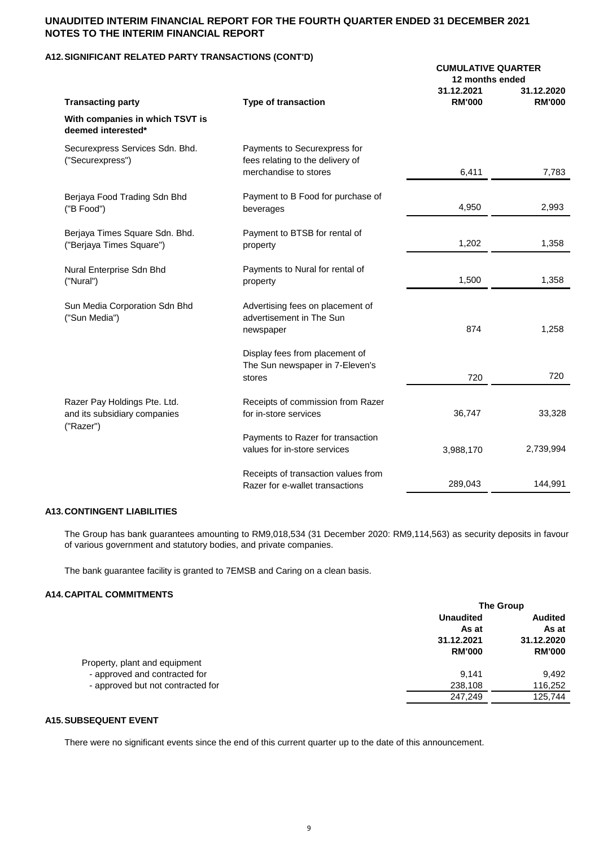#### **A12.SIGNIFICANT RELATED PARTY TRANSACTIONS (CONT'D)**

|                                                                           |                                                                                           | <b>CUMULATIVE QUARTER</b><br>12 months ended |                             |  |
|---------------------------------------------------------------------------|-------------------------------------------------------------------------------------------|----------------------------------------------|-----------------------------|--|
| <b>Transacting party</b>                                                  | <b>Type of transaction</b>                                                                | 31.12.2021<br><b>RM'000</b>                  | 31.12.2020<br><b>RM'000</b> |  |
| With companies in which TSVT is<br>deemed interested*                     |                                                                                           |                                              |                             |  |
| Securexpress Services Sdn. Bhd.<br>("Securexpress")                       | Payments to Securexpress for<br>fees relating to the delivery of<br>merchandise to stores | 6,411                                        | 7,783                       |  |
| Berjaya Food Trading Sdn Bhd<br>("B Food")                                | Payment to B Food for purchase of<br>beverages                                            | 4,950                                        | 2,993                       |  |
| Berjaya Times Square Sdn. Bhd.<br>("Berjaya Times Square")                | Payment to BTSB for rental of<br>property                                                 | 1,202                                        | 1,358                       |  |
| Nural Enterprise Sdn Bhd<br>("Nural")                                     | Payments to Nural for rental of<br>property                                               | 1,500                                        | 1,358                       |  |
| Sun Media Corporation Sdn Bhd<br>("Sun Media")                            | Advertising fees on placement of<br>advertisement in The Sun<br>newspaper                 | 874                                          | 1,258                       |  |
|                                                                           | Display fees from placement of<br>The Sun newspaper in 7-Eleven's<br>stores               | 720                                          | 720                         |  |
| Razer Pay Holdings Pte. Ltd.<br>and its subsidiary companies<br>("Razer") | Receipts of commission from Razer<br>for in-store services                                | 36,747                                       | 33,328                      |  |
|                                                                           | Payments to Razer for transaction<br>values for in-store services                         | 3,988,170                                    | 2,739,994                   |  |
|                                                                           | Receipts of transaction values from<br>Razer for e-wallet transactions                    | 289,043                                      | 144,991                     |  |
|                                                                           |                                                                                           |                                              |                             |  |

#### **A13.CONTINGENT LIABILITIES**

The Group has bank guarantees amounting to RM9,018,534 (31 December 2020: RM9,114,563) as security deposits in favour of various government and statutory bodies, and private companies.

The bank guarantee facility is granted to 7EMSB and Caring on a clean basis.

#### **A14.CAPITAL COMMITMENTS**

|                                   | <b>The Group</b> |                |  |
|-----------------------------------|------------------|----------------|--|
|                                   | <b>Unaudited</b> | <b>Audited</b> |  |
|                                   | As at            | As at          |  |
|                                   | 31.12.2021       | 31.12.2020     |  |
|                                   | <b>RM'000</b>    | <b>RM'000</b>  |  |
| Property, plant and equipment     |                  |                |  |
| - approved and contracted for     | 9.141            | 9.492          |  |
| - approved but not contracted for | 238,108          | 116,252        |  |
|                                   | 247.249          | 125,744        |  |
|                                   |                  |                |  |

### **A15.SUBSEQUENT EVENT**

There were no significant events since the end of this current quarter up to the date of this announcement.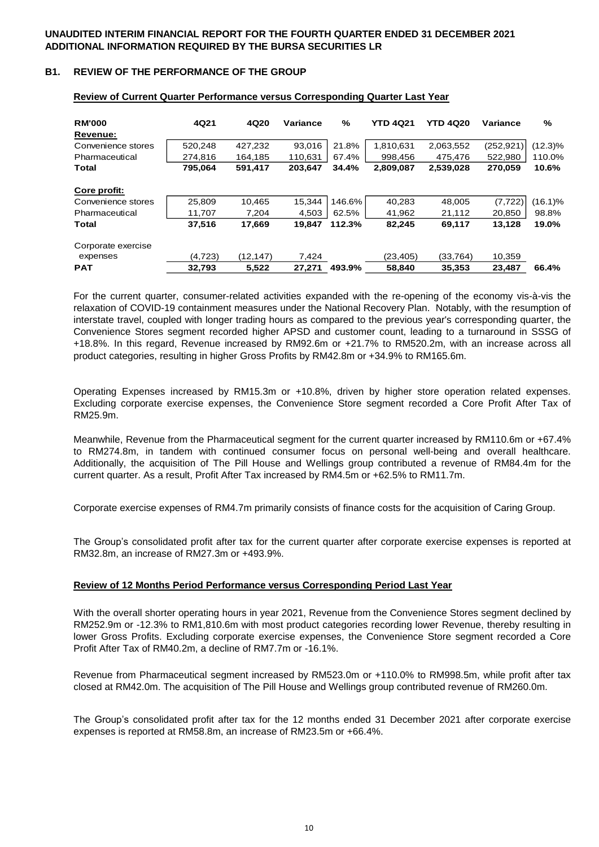#### **B1. REVIEW OF THE PERFORMANCE OF THE GROUP**

| <b>RM'000</b>      | 4Q21    | 4Q20     | Variance | $\frac{9}{6}$ | <b>YTD 4Q21</b> | <b>YTD 4Q20</b> | Variance   | %          |
|--------------------|---------|----------|----------|---------------|-----------------|-----------------|------------|------------|
| Revenue:           |         |          |          |               |                 |                 |            |            |
| Convenience stores | 520.248 | 427.232  | 93.016   | 21.8%         | 1,810,631       | 2,063,552       | (252, 921) | $(12.3)\%$ |
| Pharmaceutical     | 274,816 | 164,185  | 110,631  | 67.4%         | 998,456         | 475,476         | 522,980    | 110.0%     |
| Total              | 795,064 | 591,417  | 203,647  | 34.4%         | 2,809,087       | 2,539,028       | 270,059    | 10.6%      |
| Core profit:       |         |          |          |               |                 |                 |            |            |
| Convenience stores | 25.809  | 10.465   | 15.344   | 146.6%        | 40.283          | 48,005          | (7, 722)   | $(16.1)\%$ |
| Pharmaceutical     | 11.707  | 7.204    | 4.503    | 62.5%         | 41.962          | 21.112          | 20.850     | 98.8%      |
| Total              | 37,516  | 17,669   | 19.847   | 112.3%        | 82,245          | 69,117          | 13,128     | 19.0%      |
| Corporate exercise |         |          |          |               |                 |                 |            |            |
| expenses           | (4.723) | (12.147) | 7.424    |               | (23.405)        | (33.764)        | 10.359     |            |
| <b>PAT</b>         | 32,793  | 5,522    | 27.271   | 493.9%        | 58,840          | 35,353          | 23.487     | 66.4%      |

#### **Review of Current Quarter Performance versus Corresponding Quarter Last Year**

For the current quarter, consumer-related activities expanded with the re-opening of the economy vis-à-vis the relaxation of COVID-19 containment measures under the National Recovery Plan. Notably, with the resumption of interstate travel, coupled with longer trading hours as compared to the previous year's corresponding quarter, the Convenience Stores segment recorded higher APSD and customer count, leading to a turnaround in SSSG of +18.8%. In this regard, Revenue increased by RM92.6m or +21.7% to RM520.2m, with an increase across all product categories, resulting in higher Gross Profits by RM42.8m or +34.9% to RM165.6m.

Operating Expenses increased by RM15.3m or +10.8%, driven by higher store operation related expenses. Excluding corporate exercise expenses, the Convenience Store segment recorded a Core Profit After Tax of RM25.9m.

Meanwhile, Revenue from the Pharmaceutical segment for the current quarter increased by RM110.6m or +67.4% to RM274.8m, in tandem with continued consumer focus on personal well-being and overall healthcare. Additionally, the acquisition of The Pill House and Wellings group contributed a revenue of RM84.4m for the current quarter. As a result, Profit After Tax increased by RM4.5m or +62.5% to RM11.7m.

Corporate exercise expenses of RM4.7m primarily consists of finance costs for the acquisition of Caring Group.

The Group's consolidated profit after tax for the current quarter after corporate exercise expenses is reported at RM32.8m, an increase of RM27.3m or +493.9%.

#### **Review of 12 Months Period Performance versus Corresponding Period Last Year**

With the overall shorter operating hours in year 2021, Revenue from the Convenience Stores segment declined by RM252.9m or -12.3% to RM1,810.6m with most product categories recording lower Revenue, thereby resulting in lower Gross Profits. Excluding corporate exercise expenses, the Convenience Store segment recorded a Core Profit After Tax of RM40.2m, a decline of RM7.7m or -16.1%.

Revenue from Pharmaceutical segment increased by RM523.0m or +110.0% to RM998.5m, while profit after tax closed at RM42.0m. The acquisition of The Pill House and Wellings group contributed revenue of RM260.0m.

The Group's consolidated profit after tax for the 12 months ended 31 December 2021 after corporate exercise expenses is reported at RM58.8m, an increase of RM23.5m or +66.4%.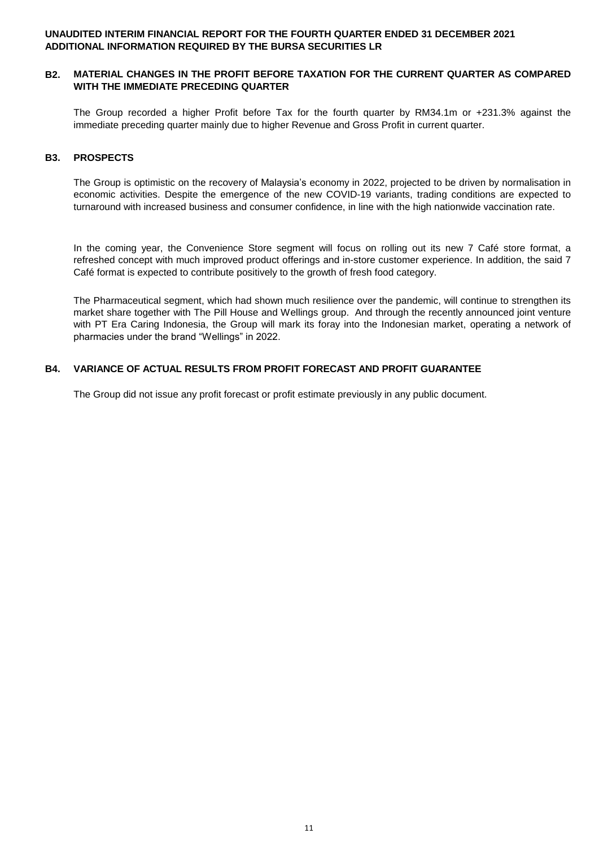#### **B2. MATERIAL CHANGES IN THE PROFIT BEFORE TAXATION FOR THE CURRENT QUARTER AS COMPARED WITH THE IMMEDIATE PRECEDING QUARTER**

The Group recorded a higher Profit before Tax for the fourth quarter by RM34.1m or +231.3% against the immediate preceding quarter mainly due to higher Revenue and Gross Profit in current quarter.

#### **B3. PROSPECTS**

The Group is optimistic on the recovery of Malaysia's economy in 2022, projected to be driven by normalisation in economic activities. Despite the emergence of the new COVID-19 variants, trading conditions are expected to turnaround with increased business and consumer confidence, in line with the high nationwide vaccination rate.

In the coming year, the Convenience Store segment will focus on rolling out its new 7 Café store format, a refreshed concept with much improved product offerings and in-store customer experience. In addition, the said 7 Café format is expected to contribute positively to the growth of fresh food category.

The Pharmaceutical segment, which had shown much resilience over the pandemic, will continue to strengthen its market share together with The Pill House and Wellings group. And through the recently announced joint venture with PT Era Caring Indonesia, the Group will mark its foray into the Indonesian market, operating a network of pharmacies under the brand "Wellings" in 2022.

## **B4. VARIANCE OF ACTUAL RESULTS FROM PROFIT FORECAST AND PROFIT GUARANTEE**

The Group did not issue any profit forecast or profit estimate previously in any public document.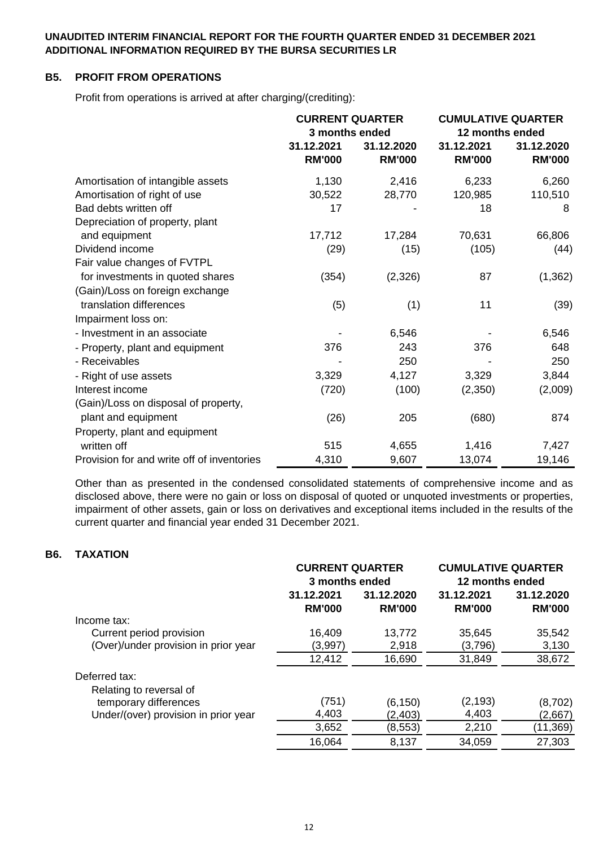## **B5. PROFIT FROM OPERATIONS**

Profit from operations is arrived at after charging/(crediting):

|                                            | <b>CURRENT QUARTER</b><br>3 months ended |                             | <b>CUMULATIVE QUARTER</b><br>12 months ended |                             |
|--------------------------------------------|------------------------------------------|-----------------------------|----------------------------------------------|-----------------------------|
|                                            | 31.12.2021<br><b>RM'000</b>              | 31.12.2020<br><b>RM'000</b> | 31.12.2021<br><b>RM'000</b>                  | 31.12.2020<br><b>RM'000</b> |
| Amortisation of intangible assets          | 1,130                                    | 2,416                       | 6,233                                        | 6,260                       |
| Amortisation of right of use               | 30,522                                   | 28,770                      | 120,985                                      | 110,510                     |
| Bad debts written off                      | 17                                       |                             | 18                                           | 8                           |
| Depreciation of property, plant            |                                          |                             |                                              |                             |
| and equipment                              | 17,712                                   | 17,284                      | 70,631                                       | 66,806                      |
| Dividend income                            | (29)                                     | (15)                        | (105)                                        | (44)                        |
| Fair value changes of FVTPL                |                                          |                             |                                              |                             |
| for investments in quoted shares           | (354)                                    | (2,326)                     | 87                                           | (1, 362)                    |
| (Gain)/Loss on foreign exchange            |                                          |                             |                                              |                             |
| translation differences                    | (5)                                      | (1)                         | 11                                           | (39)                        |
| Impairment loss on:                        |                                          |                             |                                              |                             |
| - Investment in an associate               |                                          | 6,546                       |                                              | 6,546                       |
| - Property, plant and equipment            | 376                                      | 243                         | 376                                          | 648                         |
| - Receivables                              |                                          | 250                         |                                              | 250                         |
| - Right of use assets                      | 3,329                                    | 4,127                       | 3,329                                        | 3,844                       |
| Interest income                            | (720)                                    | (100)                       | (2,350)                                      | (2,009)                     |
| (Gain)/Loss on disposal of property,       |                                          |                             |                                              |                             |
| plant and equipment                        | (26)                                     | 205                         | (680)                                        | 874                         |
| Property, plant and equipment              |                                          |                             |                                              |                             |
| written off                                | 515                                      | 4,655                       | 1,416                                        | 7,427                       |
| Provision for and write off of inventories | 4,310                                    | 9,607                       | 13,074                                       | 19,146                      |

Other than as presented in the condensed consolidated statements of comprehensive income and as disclosed above, there were no gain or loss on disposal of quoted or unquoted investments or properties, impairment of other assets, gain or loss on derivatives and exceptional items included in the results of the current quarter and financial year ended 31 December 2021.

## **B6. TAXATION**

|                                      | <b>CURRENT QUARTER</b><br>3 months ended |               | <b>CUMULATIVE QUARTER</b><br>12 months ended |               |
|--------------------------------------|------------------------------------------|---------------|----------------------------------------------|---------------|
|                                      | 31.12.2021                               | 31.12.2020    | 31.12.2021                                   | 31.12.2020    |
|                                      | <b>RM'000</b>                            | <b>RM'000</b> | <b>RM'000</b>                                | <b>RM'000</b> |
| Income tax:                          |                                          |               |                                              |               |
| Current period provision             | 16,409                                   | 13,772        | 35,645                                       | 35,542        |
| (Over)/under provision in prior year | (3,997)                                  | 2,918         | (3,796)                                      | 3,130         |
|                                      | 12,412                                   | 16,690        | 31,849                                       | 38,672        |
| Deferred tax:                        |                                          |               |                                              |               |
| Relating to reversal of              |                                          |               |                                              |               |
| temporary differences                | (751)                                    | (6, 150)      | (2, 193)                                     | (8,702)       |
| Under/(over) provision in prior year | 4,403                                    | (2, 403)      | 4,403                                        | (2,667)       |
|                                      | 3,652                                    | (8, 553)      | 2,210                                        | (11,369)      |
|                                      | 16,064                                   | 8,137         | 34,059                                       | 27,303        |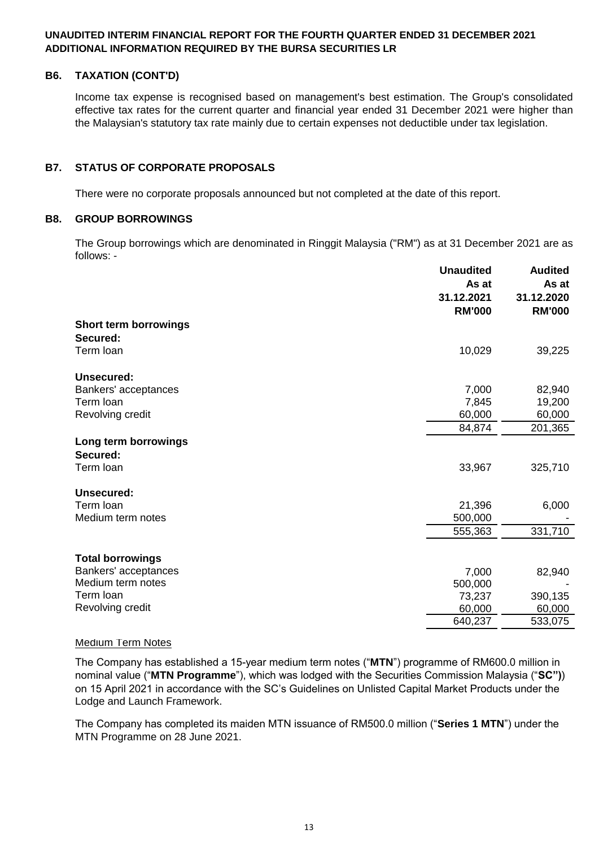## **B6. TAXATION (CONT'D)**

Income tax expense is recognised based on management's best estimation. The Group's consolidated effective tax rates for the current quarter and financial year ended 31 December 2021 were higher than the Malaysian's statutory tax rate mainly due to certain expenses not deductible under tax legislation.

## **B7. STATUS OF CORPORATE PROPOSALS**

There were no corporate proposals announced but not completed at the date of this report.

### **B8. GROUP BORROWINGS**

The Group borrowings which are denominated in Ringgit Malaysia ("RM") as at 31 December 2021 are as follows: -

|                                  | <b>Unaudited</b><br>As at<br>31.12.2021<br><b>RM'000</b> | <b>Audited</b><br>As at<br>31.12.2020<br><b>RM'000</b> |
|----------------------------------|----------------------------------------------------------|--------------------------------------------------------|
| <b>Short term borrowings</b>     |                                                          |                                                        |
| Secured:                         |                                                          |                                                        |
| Term loan                        | 10,029                                                   | 39,225                                                 |
| Unsecured:                       |                                                          |                                                        |
| Bankers' acceptances             | 7,000                                                    | 82,940                                                 |
| Term loan                        | 7,845                                                    | 19,200                                                 |
| Revolving credit                 | 60,000                                                   | 60,000                                                 |
|                                  | 84,874                                                   | 201,365                                                |
| Long term borrowings<br>Secured: |                                                          |                                                        |
| Term loan                        | 33,967                                                   | 325,710                                                |
| Unsecured:                       |                                                          |                                                        |
| Term loan                        | 21,396                                                   | 6,000                                                  |
| Medium term notes                | 500,000                                                  |                                                        |
|                                  | 555,363                                                  | 331,710                                                |
| <b>Total borrowings</b>          |                                                          |                                                        |
| Bankers' acceptances             |                                                          |                                                        |
| Medium term notes                | 7,000                                                    | 82,940                                                 |
| Term loan                        | 500,000<br>73,237                                        | 390,135                                                |
| Revolving credit                 | 60,000                                                   | 60,000                                                 |
|                                  | 640,237                                                  | 533,075                                                |
|                                  |                                                          |                                                        |

### Medium Term Notes

The Company has established a 15-year medium term notes ("**MTN**") programme of RM600.0 million in nominal value ("**MTN Programme**"), which was lodged with the Securities Commission Malaysia ("**SC")**) on 15 April 2021 in accordance with the SC's Guidelines on Unlisted Capital Market Products under the Lodge and Launch Framework.

The Company has completed its maiden MTN issuance of RM500.0 million ("**Series 1 MTN**") under the MTN Programme on 28 June 2021.